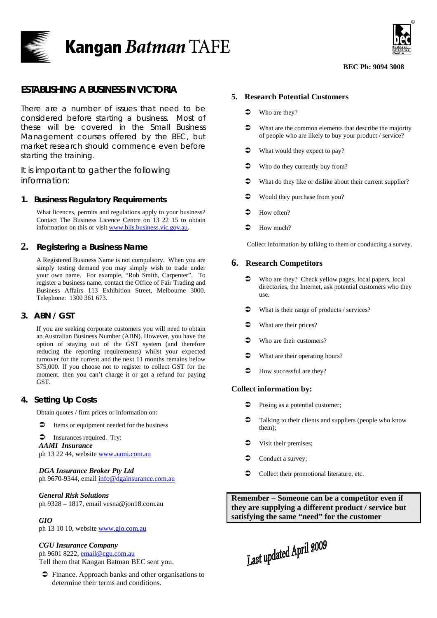



#### **BEC Ph: 9094 3008**

# **ESTABLISHING A BUSINESS IN VICTORIA**

There are a number of issues that need to be considered before starting a business. Most of these will be covered in the Small Business Management courses offered by the BEC, but market research should commence even before starting the training.

It is important to gather the following information:

### **1. Business Regulatory Requirements**

What licences, permits and regulations apply to your business? Contact The Business Licence Centre on 13 22 15 to obtain information on this or visit [www.blis.business.vic.gov.au.](http://www.blis.business.vic.gov.au/)

# **2. Registering a Business Name**

A Registered Business Name is not compulsory. When you are simply testing demand you may simply wish to trade under your own name. For example, "Rob Smith, Carpenter". To register a business name, contact the Office of Fair Trading and Business Affairs 113 Exhibition Street, Melbourne 3000. Telephone: 1300 361 673.

# **3. ABN / GST**

If you are seeking corporate customers you will need to obtain an Australian Business Number (ABN). However, you have the option of staying out of the GST system (and therefore reducing the reporting requirements) whilst your expected turnover for the current and the next 11 months remains below \$75,000. If you choose not to register to collect GST for the moment, then you can't charge it or get a refund for paying GST.

# **4. Setting Up Costs**

Obtain quotes / firm prices or information on:

 $\supset$  Items or equipment needed for the business

 $\bullet$  Insurances required. Try:

*AAMI Insurance* ph 13 22 44, website [www.aami.com.au](http://www.aami.com.au/)

#### *DGA Insurance Broker Pty Ltd*

ph 9670-9344, email [info@dgainsurance.com.au](mailto:info@dgainsurance.com.au)

### *General Risk Solutions*

ph 9328 – 1817, email vesna@jon18.com.au

### *GIO*

ph 13 10 10, website [www.gio.com.au](http://www.gio.com.au/)

#### *CGU Insurance Company*

ph 9601 8222, [email@cgu.com.au](mailto:email@cgu.com.au) Tell them that Kangan Batman BEC sent you.

 $\supset$  Finance. Approach banks and other organisations to determine their terms and conditions.

#### **5. Research Potential Customers**

- $\bullet$  Who are they?
- $\blacktriangleright$  What are the common elements that describe the majority of people who are likely to buy your product / service?
- $\blacktriangleright$  What would they expect to pay?
- $\bullet$  Who do they currently buy from?
- $\bullet$  What do they like or dislike about their current supplier?
- $\bullet$  Would they purchase from you?
- $\blacktriangleright$  How often?
- $\bullet$  How much?

Collect information by talking to them or conducting a survey.

### **6. Research Competitors**

- $\bullet$  Who are they? Check yellow pages, local papers, local directories, the Internet, ask potential customers who they use.
- $\bullet$  What is their range of products / services?
- $\bullet$  What are their prices?
- $\bullet$  Who are their customers?
- $\bullet$  What are their operating hours?
- $\blacktriangleright$  How successful are they?

### **Collect information by:**

- $\bullet$  Posing as a potential customer;
- Talking to their clients and suppliers (people who know them);
- Visit their premises;
- $\triangle$  Conduct a survey;
- $\bullet$  Collect their promotional literature, etc.

**Remember – Someone can be a competitor even if they are supplying a different product / service but satisfying the same "need" for the customer** 

Last updated April 2009